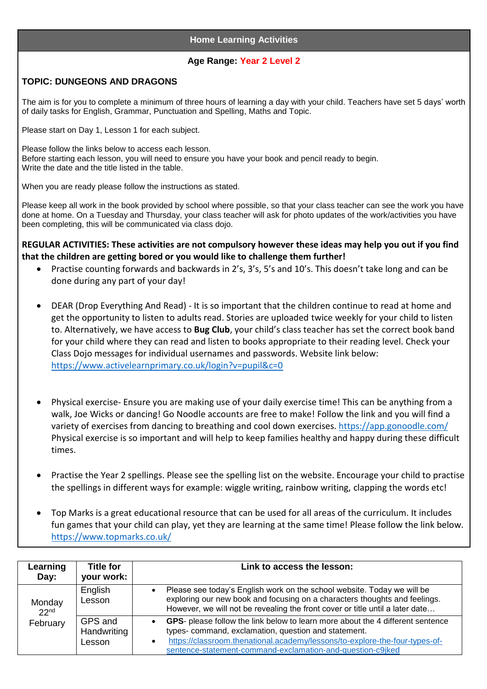## **Home Learning Activities**

## **Age Range: Year 2 Level 2**

## **TOPIC: DUNGEONS AND DRAGONS**

The aim is for you to complete a minimum of three hours of learning a day with your child. Teachers have set 5 days' worth of daily tasks for English, Grammar, Punctuation and Spelling, Maths and Topic.

Please start on Day 1, Lesson 1 for each subject.

Please follow the links below to access each lesson. Before starting each lesson, you will need to ensure you have your book and pencil ready to begin. Write the date and the title listed in the table.

When you are ready please follow the instructions as stated.

Please keep all work in the book provided by school where possible, so that your class teacher can see the work you have done at home. On a Tuesday and Thursday, your class teacher will ask for photo updates of the work/activities you have been completing, this will be communicated via class dojo.

**REGULAR ACTIVITIES: These activities are not compulsory however these ideas may help you out if you find that the children are getting bored or you would like to challenge them further!**

- Practise counting forwards and backwards in 2's, 3's, 5's and 10's. This doesn't take long and can be done during any part of your day!
- DEAR (Drop Everything And Read) It is so important that the children continue to read at home and get the opportunity to listen to adults read. Stories are uploaded twice weekly for your child to listen to. Alternatively, we have access to **Bug Club**, your child's class teacher has set the correct book band for your child where they can read and listen to books appropriate to their reading level. Check your Class Dojo messages for individual usernames and passwords. Website link below: <https://www.activelearnprimary.co.uk/login?v=pupil&c=0>
- Physical exercise- Ensure you are making use of your daily exercise time! This can be anything from a walk, Joe Wicks or dancing! Go Noodle accounts are free to make! Follow the link and you will find a variety of exercises from dancing to breathing and cool down exercises.<https://app.gonoodle.com/> Physical exercise is so important and will help to keep families healthy and happy during these difficult times.
- Practise the Year 2 spellings. Please see the spelling list on the website. Encourage your child to practise the spellings in different ways for example: wiggle writing, rainbow writing, clapping the words etc!
- Top Marks is a great educational resource that can be used for all areas of the curriculum. It includes fun games that your child can play, yet they are learning at the same time! Please follow the link below. <https://www.topmarks.co.uk/>

| Learning<br>Day:                       | <b>Title for</b><br>your work:   | Link to access the lesson:                                                                                                                                                                                                                                                          |
|----------------------------------------|----------------------------------|-------------------------------------------------------------------------------------------------------------------------------------------------------------------------------------------------------------------------------------------------------------------------------------|
| Monday<br>22 <sup>nd</sup><br>February | English<br>Lesson                | Please see today's English work on the school website. Today we will be<br>exploring our new book and focusing on a characters thoughts and feelings.<br>However, we will not be revealing the front cover or title until a later date                                              |
|                                        | GPS and<br>Handwriting<br>Lesson | GPS- please follow the link below to learn more about the 4 different sentence<br>types- command, exclamation, question and statement.<br>https://classroom.thenational.academy/lessons/to-explore-the-four-types-of-<br>sentence-statement-command-exclamation-and-question-c9jked |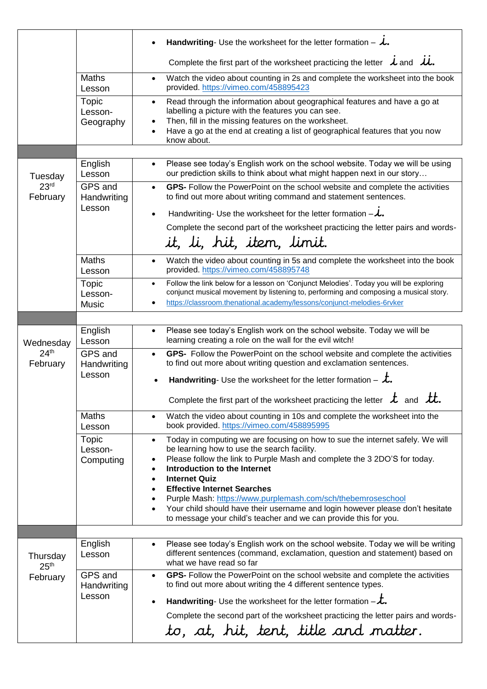|                                           | Handwriting- Use the worksheet for the letter formation - $\lambda$ . |                                                                                                                                                                                                                                                                                                      |  |  |
|-------------------------------------------|-----------------------------------------------------------------------|------------------------------------------------------------------------------------------------------------------------------------------------------------------------------------------------------------------------------------------------------------------------------------------------------|--|--|
|                                           |                                                                       | Complete the first part of the worksheet practicing the letter $\lambda$ and $\lambda$ .                                                                                                                                                                                                             |  |  |
|                                           | Maths<br>Lesson                                                       | Watch the video about counting in 2s and complete the worksheet into the book<br>$\bullet$<br>provided. https://vimeo.com/458895423                                                                                                                                                                  |  |  |
|                                           | Topic<br>Lesson-<br>Geography                                         | Read through the information about geographical features and have a go at<br>$\bullet$<br>labelling a picture with the features you can see.<br>Then, fill in the missing features on the worksheet.<br>Have a go at the end at creating a list of geographical features that you now<br>know about. |  |  |
|                                           | English                                                               | Please see today's English work on the school website. Today we will be using<br>$\bullet$                                                                                                                                                                                                           |  |  |
| Tuesday<br>23 <sup>rd</sup><br>February   | Lesson                                                                | our prediction skills to think about what might happen next in our story                                                                                                                                                                                                                             |  |  |
|                                           | GPS and<br>Handwriting<br>Lesson                                      | GPS- Follow the PowerPoint on the school website and complete the activities<br>$\bullet$<br>to find out more about writing command and statement sentences.                                                                                                                                         |  |  |
|                                           |                                                                       | Handwriting-Use the worksheet for the letter formation $-\lambda$ .                                                                                                                                                                                                                                  |  |  |
|                                           |                                                                       | Complete the second part of the worksheet practicing the letter pairs and words-<br>it, li, hit, item, limit.                                                                                                                                                                                        |  |  |
|                                           | <b>Maths</b><br>Lesson                                                | Watch the video about counting in 5s and complete the worksheet into the book<br>$\bullet$<br>provided. https://vimeo.com/458895748                                                                                                                                                                  |  |  |
|                                           | <b>Topic</b><br>Lesson-<br><b>Music</b>                               | Follow the link below for a lesson on 'Conjunct Melodies'. Today you will be exploring<br>$\bullet$<br>conjunct musical movement by listening to, performing and composing a musical story.<br>https://classroom.thenational.academy/lessons/conjunct-melodies-6rvker                                |  |  |
|                                           |                                                                       |                                                                                                                                                                                                                                                                                                      |  |  |
| Wednesday<br>24 <sup>th</sup><br>February | English<br>Lesson                                                     | Please see today's English work on the school website. Today we will be<br>$\bullet$<br>learning creating a role on the wall for the evil witch!                                                                                                                                                     |  |  |
|                                           | GPS and<br>Handwriting<br>Lesson                                      | GPS- Follow the PowerPoint on the school website and complete the activities<br>$\bullet$<br>to find out more about writing question and exclamation sentences.                                                                                                                                      |  |  |
|                                           |                                                                       | Handwriting- Use the worksheet for the letter formation - $\dot{\mathcal{L}}$ .                                                                                                                                                                                                                      |  |  |
|                                           |                                                                       | LL<br>Complete the first part of the worksheet practicing the letter $\mathcal{L}$ and $\mathcal{L}t$ .                                                                                                                                                                                              |  |  |
|                                           | <b>Maths</b><br>Lesson                                                | Watch the video about counting in 10s and complete the worksheet into the<br>$\bullet$<br>book provided. https://vimeo.com/458895995                                                                                                                                                                 |  |  |
|                                           | Topic<br>Lesson-                                                      | Today in computing we are focusing on how to sue the internet safely. We will<br>$\bullet$<br>be learning how to use the search facility.                                                                                                                                                            |  |  |
|                                           | Computing                                                             | Please follow the link to Purple Mash and complete the 3 2DO'S for today.<br>٠<br>Introduction to the Internet<br>$\bullet$                                                                                                                                                                          |  |  |
|                                           |                                                                       | <b>Internet Quiz</b><br>$\bullet$<br><b>Effective Internet Searches</b>                                                                                                                                                                                                                              |  |  |
|                                           |                                                                       | Purple Mash: https://www.purplemash.com/sch/thebemroseschool                                                                                                                                                                                                                                         |  |  |
|                                           |                                                                       | Your child should have their username and login however please don't hesitate<br>$\bullet$<br>to message your child's teacher and we can provide this for you.                                                                                                                                       |  |  |
|                                           | English                                                               | Please see today's English work on the school website. Today we will be writing<br>$\bullet$                                                                                                                                                                                                         |  |  |
| Thursday<br>25 <sup>th</sup><br>February  | Lesson                                                                | different sentences (command, exclamation, question and statement) based on<br>what we have read so far                                                                                                                                                                                              |  |  |
|                                           | GPS and<br>Handwriting<br>Lesson                                      | GPS- Follow the PowerPoint on the school website and complete the activities<br>$\bullet$<br>to find out more about writing the 4 different sentence types.                                                                                                                                          |  |  |
|                                           |                                                                       | Handwriting- Use the worksheet for the letter formation $-\mathcal{L}$ .<br>$\bullet$                                                                                                                                                                                                                |  |  |
|                                           |                                                                       | Complete the second part of the worksheet practicing the letter pairs and words-                                                                                                                                                                                                                     |  |  |
|                                           |                                                                       | to, at, hit, tent, title and matter.                                                                                                                                                                                                                                                                 |  |  |